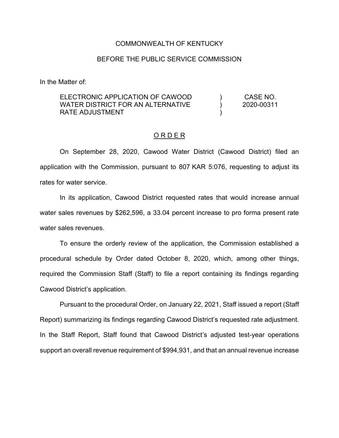#### COMMONWEALTH OF KENTUCKY

## BEFORE THE PUBLIC SERVICE COMMISSION

In the Matter of:

#### ELECTRONIC APPLICATION OF CAWOOD WATER DISTRICT FOR AN ALTERNATIVE RATE ADJUSTMENT ) ) ) CASE NO. 2020-00311

#### O R D E R

On September 28, 2020, Cawood Water District (Cawood District) filed an application with the Commission, pursuant to 807 KAR 5:076, requesting to adjust its rates for water service.

In its application, Cawood District requested rates that would increase annual water sales revenues by \$262,596, a 33.04 percent increase to pro forma present rate water sales revenues.

To ensure the orderly review of the application, the Commission established a procedural schedule by Order dated October 8, 2020, which, among other things, required the Commission Staff (Staff) to file a report containing its findings regarding Cawood District's application.

Pursuant to the procedural Order, on January 22, 2021, Staff issued a report (Staff Report) summarizing its findings regarding Cawood District's requested rate adjustment. In the Staff Report, Staff found that Cawood District's adjusted test-year operations support an overall revenue requirement of \$994,931, and that an annual revenue increase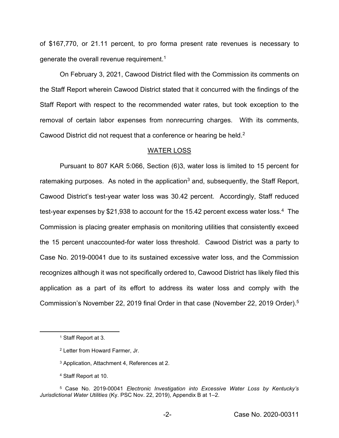of \$167,770, or 21.11 percent, to pro forma present rate revenues is necessary to generate the overall revenue requirement.<sup>1</sup>

On February 3, 2021, Cawood District filed with the Commission its comments on the Staff Report wherein Cawood District stated that it concurred with the findings of the Staff Report with respect to the recommended water rates, but took exception to the removal of certain labor expenses from nonrecurring charges. With its comments, Cawood District did not request that a conference or hearing be held.<sup>2</sup>

#### WATER LOSS

Pursuant to 807 KAR 5:066, Section (6)3, water loss is limited to 15 percent for ratemaking purposes. As noted in the application<sup>3</sup> and, subsequently, the Staff Report, Cawood District's test-year water loss was 30.42 percent. Accordingly, Staff reduced test-year expenses by \$21,938 to account for the 15.42 percent excess water loss.<sup>4</sup> The Commission is placing greater emphasis on monitoring utilities that consistently exceed the 15 percent unaccounted-for water loss threshold. Cawood District was a party to Case No. 2019-00041 due to its sustained excessive water loss, and the Commission recognizes although it was not specifically ordered to, Cawood District has likely filed this application as a part of its effort to address its water loss and comply with the Commission's November 22, 2019 final Order in that case (November 22, 2019 Order). 5

<sup>4</sup> Staff Report at 10.

<sup>1</sup> Staff Report at 3.

<sup>2</sup> Letter from Howard Farmer, Jr.

<sup>3</sup> Application, Attachment 4, References at 2.

<sup>5</sup> Case No. 2019-00041 *Electronic Investigation into Excessive Water Loss by Kentucky's Jurisdictional Water Utilities* (Ky. PSC Nov. 22, 2019), Appendix B at 1–2.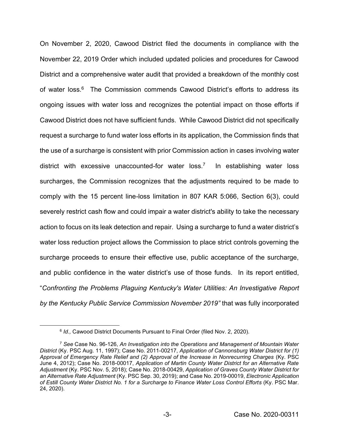On November 2, 2020, Cawood District filed the documents in compliance with the November 22, 2019 Order which included updated policies and procedures for Cawood District and a comprehensive water audit that provided a breakdown of the monthly cost of water loss.<sup>6</sup> The Commission commends Cawood District's efforts to address its ongoing issues with water loss and recognizes the potential impact on those efforts if Cawood District does not have sufficient funds. While Cawood District did not specifically request a surcharge to fund water loss efforts in its application, the Commission finds that the use of a surcharge is consistent with prior Commission action in cases involving water district with excessive unaccounted-for water loss.7 In establishing water loss surcharges, the Commission recognizes that the adjustments required to be made to comply with the 15 percent line-loss limitation in 807 KAR 5:066, Section 6(3), could severely restrict cash flow and could impair a water district's ability to take the necessary action to focus on its leak detection and repair. Using a surcharge to fund a water district's water loss reduction project allows the Commission to place strict controls governing the surcharge proceeds to ensure their effective use, public acceptance of the surcharge, and public confidence in the water district's use of those funds. In its report entitled, "*Confronting the Problems Plaguing Kentucky's Water Utilities: An Investigative Report by the Kentucky Public Service Commission November 2019"* that was fully incorporated

<sup>6</sup> *Id.,* Cawood District Documents Pursuant to Final Order (filed Nov. 2, 2020).

<sup>7</sup> *See* Case No. 96-126, *An Investigation into the Operations and Management of Mountain Water District* (Ky. PSC Aug. 11, 1997); Case No. 2011-00217, *Application of Cannonsburg Water District for (1) Approval of Emergency Rate Relief and (2) Approval of the Increase in Nonrecurring Charges* (Ky. PSC June 4, 2012); Case No. 2018-00017, *Application of Martin County Water District for an Alternative Rate Adjustment* (Ky. PSC Nov. 5, 2018); Case No. 2018-00429, *Application of Graves County Water District for an Alternative Rate Adjustment* (Ky. PSC Sep. 30, 2019); and Case No. 2019-00019, *Electronic Application of Estill County Water District No. 1 for a Surcharge to Finance Water Loss Control Efforts* (Ky. PSC Mar. 24, 2020).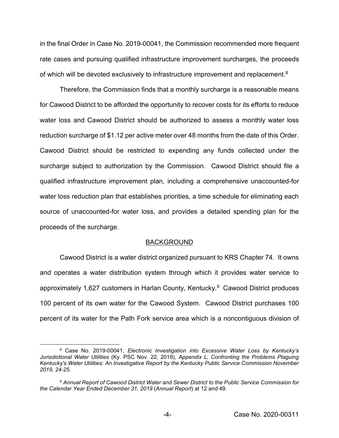in the final Order in Case No. 2019-00041, the Commission recommended more frequent rate cases and pursuing qualified infrastructure improvement surcharges, the proceeds of which will be devoted exclusively to infrastructure improvement and replacement.<sup>8</sup>

Therefore, the Commission finds that a monthly surcharge is a reasonable means for Cawood District to be afforded the opportunity to recover costs for its efforts to reduce water loss and Cawood District should be authorized to assess a monthly water loss reduction surcharge of \$1.12 per active meter over 48 months from the date of this Order. Cawood District should be restricted to expending any funds collected under the surcharge subject to authorization by the Commission. Cawood District should file a qualified infrastructure improvement plan, including a comprehensive unaccounted-for water loss reduction plan that establishes priorities, a time schedule for eliminating each source of unaccounted-for water loss, and provides a detailed spending plan for the proceeds of the surcharge.

#### BACKGROUND

Cawood District is a water district organized pursuant to KRS Chapter 74. It owns and operates a water distribution system through which it provides water service to approximately 1,627 customers in Harlan County, Kentucky.<sup>9</sup> Cawood District produces 100 percent of its own water for the Cawood System. Cawood District purchases 100 percent of its water for the Path Fork service area which is a noncontiguous division of

<sup>8</sup> Case No. 2019-00041, *Electronic Investigation into Excessive Water Loss by Kentucky's Jurisdictional Water Utilities* (Ky. PSC Nov. 22, 2019), *Appendix L, Confronting the Problems Plaguing Kentucky's Water Utilities: An Investigative Report by the Kentucky Public Service Commission November 2019, 24-25.*

<sup>9</sup> *Annual Report of Cawood District Water and Sewer District to the Public Service Commission for the Calendar Year Ended December 31, 2019* (*Annual Report*) at 12 and 49.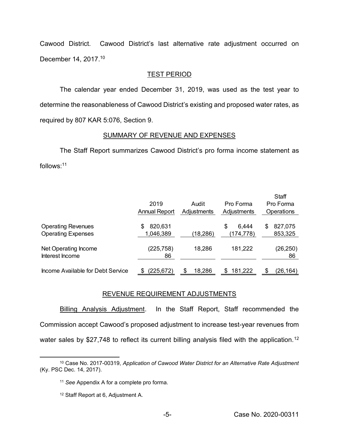Cawood District. Cawood District's last alternative rate adjustment occurred on December 14, 2017.<sup>10</sup>

## TEST PERIOD

The calendar year ended December 31, 2019, was used as the test year to determine the reasonableness of Cawood District's existing and proposed water rates, as required by 807 KAR 5:076, Section 9.

## SUMMARY OF REVENUE AND EXPENSES

The Staff Report summarizes Cawood District's pro forma income statement as follows: 11

|                                                        | 2019<br><b>Annual Report</b> | Audit<br>Adjustments | Pro Forma<br>Adjustments | Staff<br>Pro Forma<br><b>Operations</b> |
|--------------------------------------------------------|------------------------------|----------------------|--------------------------|-----------------------------------------|
| <b>Operating Revenues</b><br><b>Operating Expenses</b> | 820,631<br>S<br>1,046,389    | (18, 286)            | 6,444<br>S<br>(174, 778) | 827,075<br>S<br>853,325                 |
| Net Operating Income<br>Interest Income                | (225, 758)<br>86             | 18,286               | 181,222                  | (26, 250)<br>86                         |
| Income Available for Debt Service                      | (225,672)                    | 18,286               | 181,222<br>S             | (26, 164)                               |

# REVENUE REQUIREMENT ADJUSTMENTS

Billing Analysis Adjustment. In the Staff Report, Staff recommended the Commission accept Cawood's proposed adjustment to increase test-year revenues from water sales by \$27,748 to reflect its current billing analysis filed with the application.<sup>12</sup>

<sup>10</sup> Case No. 2017-00319, *Application of Cawood Water District for an Alternative Rate Adjustment* (Ky. PSC Dec. 14, 2017).

<sup>11</sup> *See* Appendix A for a complete pro forma.

<sup>12</sup> Staff Report at 6, Adjustment A.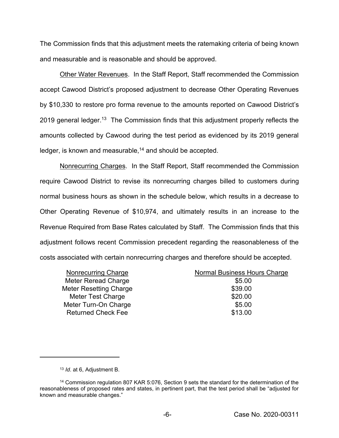The Commission finds that this adjustment meets the ratemaking criteria of being known and measurable and is reasonable and should be approved.

Other Water Revenues. In the Staff Report, Staff recommended the Commission accept Cawood District's proposed adjustment to decrease Other Operating Revenues by \$10,330 to restore pro forma revenue to the amounts reported on Cawood District's 2019 general ledger.<sup>13</sup> The Commission finds that this adjustment properly reflects the amounts collected by Cawood during the test period as evidenced by its 2019 general ledger, is known and measurable,<sup>14</sup> and should be accepted.

Nonrecurring Charges. In the Staff Report, Staff recommended the Commission require Cawood District to revise its nonrecurring charges billed to customers during normal business hours as shown in the schedule below, which results in a decrease to Other Operating Revenue of \$10,974, and ultimately results in an increase to the Revenue Required from Base Rates calculated by Staff. The Commission finds that this adjustment follows recent Commission precedent regarding the reasonableness of the costs associated with certain nonrecurring charges and therefore should be accepted.

| Nonrecurring Charge           | Normal Business Hours Charge |
|-------------------------------|------------------------------|
| Meter Reread Charge           | \$5.00                       |
| <b>Meter Resetting Charge</b> | \$39.00                      |
| Meter Test Charge             | \$20.00                      |
| Meter Turn-On Charge          | \$5.00                       |
| <b>Returned Check Fee</b>     | \$13.00                      |
|                               |                              |

<sup>13</sup> *Id*. at 6, Adjustment B.

<sup>14</sup> Commission regulation 807 KAR 5:076, Section 9 sets the standard for the determination of the reasonableness of proposed rates and states, in pertinent part, that the test period shall be "adjusted for known and measurable changes."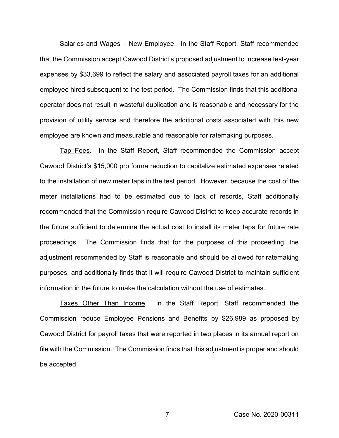Salaries and Wages – New Employee. In the Staff Report, Staff recommended that the Commission accept Cawood District's proposed adjustment to increase test-year expenses by \$33,699 to reflect the salary and associated payroll taxes for an additional employee hired subsequent to the test period. The Commission finds that this additional operator does not result in wasteful duplication and is reasonable and necessary for the provision of utility service and therefore the additional costs associated with this new employee are known and measurable and reasonable for ratemaking purposes.

Tap Fees. In the Staff Report, Staff recommended the Commission accept Cawood District's \$15,000 pro forma reduction to capitalize estimated expenses related to the installation of new meter taps in the test period. However, because the cost of the meter installations had to be estimated due to lack of records, Staff additionally recommended that the Commission require Cawood District to keep accurate records in the future sufficient to determine the actual cost to install its meter taps for future rate proceedings. The Commission finds that for the purposes of this proceeding, the adjustment recommended by Staff is reasonable and should be allowed for ratemaking purposes, and additionally finds that it will require Cawood District to maintain sufficient information in the future to make the calculation without the use of estimates.

Taxes Other Than Income. In the Staff Report, Staff recommended the Commission reduce Employee Pensions and Benefits by \$26,989 as proposed by Cawood District for payroll taxes that were reported in two places in its annual report on file with the Commission. The Commission finds that this adjustment is proper and should be accepted.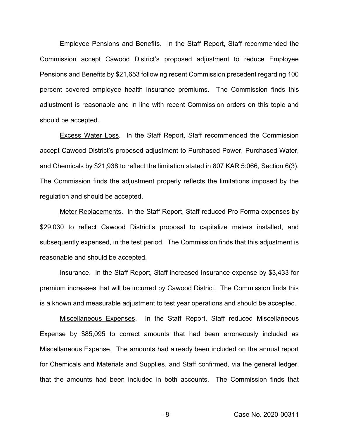Employee Pensions and Benefits. In the Staff Report, Staff recommended the Commission accept Cawood District's proposed adjustment to reduce Employee Pensions and Benefits by \$21,653 following recent Commission precedent regarding 100 percent covered employee health insurance premiums. The Commission finds this adjustment is reasonable and in line with recent Commission orders on this topic and should be accepted.

Excess Water Loss. In the Staff Report, Staff recommended the Commission accept Cawood District's proposed adjustment to Purchased Power, Purchased Water, and Chemicals by \$21,938 to reflect the limitation stated in 807 KAR 5:066, Section 6(3). The Commission finds the adjustment properly reflects the limitations imposed by the regulation and should be accepted.

Meter Replacements. In the Staff Report, Staff reduced Pro Forma expenses by \$29,030 to reflect Cawood District's proposal to capitalize meters installed, and subsequently expensed, in the test period. The Commission finds that this adjustment is reasonable and should be accepted.

Insurance. In the Staff Report, Staff increased Insurance expense by \$3,433 for premium increases that will be incurred by Cawood District. The Commission finds this is a known and measurable adjustment to test year operations and should be accepted.

Miscellaneous Expenses. In the Staff Report, Staff reduced Miscellaneous Expense by \$85,095 to correct amounts that had been erroneously included as Miscellaneous Expense. The amounts had already been included on the annual report for Chemicals and Materials and Supplies, and Staff confirmed, via the general ledger, that the amounts had been included in both accounts. The Commission finds that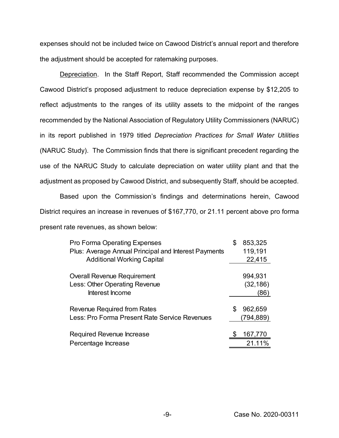expenses should not be included twice on Cawood District's annual report and therefore the adjustment should be accepted for ratemaking purposes.

Depreciation. In the Staff Report, Staff recommended the Commission accept Cawood District's proposed adjustment to reduce depreciation expense by \$12,205 to reflect adjustments to the ranges of its utility assets to the midpoint of the ranges recommended by the National Association of Regulatory Utility Commissioners (NARUC) in its report published in 1979 titled *Depreciation Practices for Small Water Utilities*  (NARUC Study). The Commission finds that there is significant precedent regarding the use of the NARUC Study to calculate depreciation on water utility plant and that the adjustment as proposed by Cawood District, and subsequently Staff, should be accepted.

Based upon the Commission's findings and determinations herein, Cawood District requires an increase in revenues of \$167,770, or 21.11 percent above pro forma present rate revenues, as shown below:

| <b>Pro Forma Operating Expenses</b><br>Plus: Average Annual Principal and Interest Payments | \$<br>853,325<br>119,191 |
|---------------------------------------------------------------------------------------------|--------------------------|
| <b>Additional Working Capital</b>                                                           | 22,415                   |
| <b>Overall Revenue Requirement</b>                                                          | 994,931                  |
| Less: Other Operating Revenue                                                               | (32, 186)                |
| Interest Income                                                                             | (86)                     |
| Revenue Required from Rates                                                                 | 962,659                  |
| Less: Pro Forma Present Rate Service Revenues                                               | (794,889)                |
| Required Revenue Increase                                                                   | 167,770                  |
| Percentage Increase                                                                         | 21.11%                   |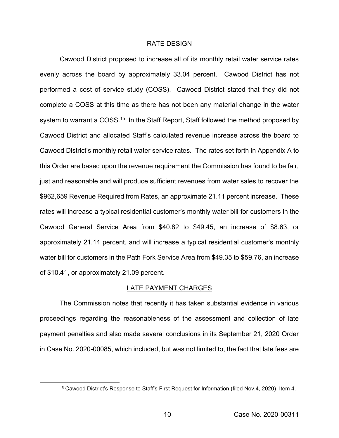#### RATE DESIGN

Cawood District proposed to increase all of its monthly retail water service rates evenly across the board by approximately 33.04 percent. Cawood District has not performed a cost of service study (COSS). Cawood District stated that they did not complete a COSS at this time as there has not been any material change in the water system to warrant a COSS.<sup>15</sup> In the Staff Report, Staff followed the method proposed by Cawood District and allocated Staff's calculated revenue increase across the board to Cawood District's monthly retail water service rates. The rates set forth in Appendix A to this Order are based upon the revenue requirement the Commission has found to be fair, just and reasonable and will produce sufficient revenues from water sales to recover the \$962,659 Revenue Required from Rates, an approximate 21.11 percent increase. These rates will increase a typical residential customer's monthly water bill for customers in the Cawood General Service Area from \$40.82 to \$49.45, an increase of \$8.63, or approximately 21.14 percent, and will increase a typical residential customer's monthly water bill for customers in the Path Fork Service Area from \$49.35 to \$59.76, an increase of \$10.41, or approximately 21.09 percent.

### LATE PAYMENT CHARGES

The Commission notes that recently it has taken substantial evidence in various proceedings regarding the reasonableness of the assessment and collection of late payment penalties and also made several conclusions in its September 21, 2020 Order in Case No. 2020-00085, which included, but was not limited to, the fact that late fees are

<sup>15</sup> Cawood District's Response to Staff's First Request for Information (filed Nov.4, 2020), Item 4.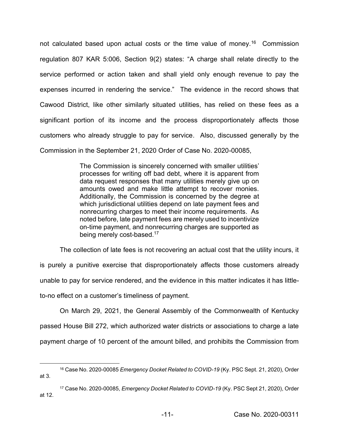not calculated based upon actual costs or the time value of money.<sup>16</sup> Commission regulation 807 KAR 5:006, Section 9(2) states: "A charge shall relate directly to the service performed or action taken and shall yield only enough revenue to pay the expenses incurred in rendering the service." The evidence in the record shows that Cawood District, like other similarly situated utilities, has relied on these fees as a significant portion of its income and the process disproportionately affects those customers who already struggle to pay for service. Also, discussed generally by the Commission in the September 21, 2020 Order of Case No. 2020-00085,

> The Commission is sincerely concerned with smaller utilities' processes for writing off bad debt, where it is apparent from data request responses that many utilities merely give up on amounts owed and make little attempt to recover monies. Additionally, the Commission is concerned by the degree at which jurisdictional utilities depend on late payment fees and nonrecurring charges to meet their income requirements. As noted before, late payment fees are merely used to incentivize on-time payment, and nonrecurring charges are supported as being merely cost-based.17

The collection of late fees is not recovering an actual cost that the utility incurs, it is purely a punitive exercise that disproportionately affects those customers already unable to pay for service rendered, and the evidence in this matter indicates it has littleto-no effect on a customer's timeliness of payment.

On March 29, 2021, the General Assembly of the Commonwealth of Kentucky passed House Bill 272, which authorized water districts or associations to charge a late payment charge of 10 percent of the amount billed, and prohibits the Commission from

<sup>16</sup> Case No. 2020-00085 *Emergency Docket Related to COVID-19* (Ky. PSC Sept. 21, 2020), Order at 3.

<sup>17</sup> Case No. 2020-00085, *Emergency Docket Related to COVID-19* (Ky. PSC Sept 21, 2020), Order at 12.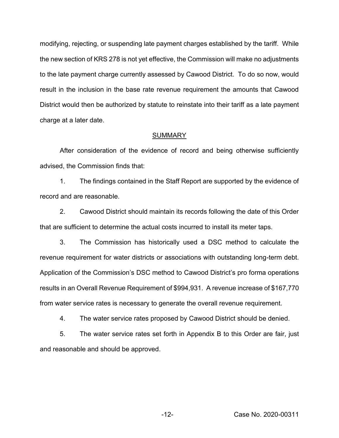modifying, rejecting, or suspending late payment charges established by the tariff. While the new section of KRS 278 is not yet effective, the Commission will make no adjustments to the late payment charge currently assessed by Cawood District. To do so now, would result in the inclusion in the base rate revenue requirement the amounts that Cawood District would then be authorized by statute to reinstate into their tariff as a late payment charge at a later date.

#### **SUMMARY**

After consideration of the evidence of record and being otherwise sufficiently advised, the Commission finds that:

1. The findings contained in the Staff Report are supported by the evidence of record and are reasonable.

2. Cawood District should maintain its records following the date of this Order that are sufficient to determine the actual costs incurred to install its meter taps.

3. The Commission has historically used a DSC method to calculate the revenue requirement for water districts or associations with outstanding long-term debt. Application of the Commission's DSC method to Cawood District's pro forma operations results in an Overall Revenue Requirement of \$994,931. A revenue increase of \$167,770 from water service rates is necessary to generate the overall revenue requirement.

4. The water service rates proposed by Cawood District should be denied.

5. The water service rates set forth in Appendix B to this Order are fair, just and reasonable and should be approved.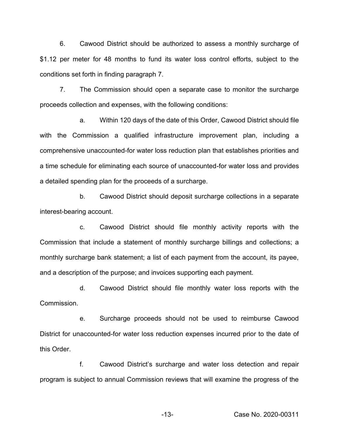6. Cawood District should be authorized to assess a monthly surcharge of \$1.12 per meter for 48 months to fund its water loss control efforts, subject to the conditions set forth in finding paragraph 7.

7. The Commission should open a separate case to monitor the surcharge proceeds collection and expenses, with the following conditions:

a. Within 120 days of the date of this Order, Cawood District should file with the Commission a qualified infrastructure improvement plan, including a comprehensive unaccounted-for water loss reduction plan that establishes priorities and a time schedule for eliminating each source of unaccounted-for water loss and provides a detailed spending plan for the proceeds of a surcharge.

b. Cawood District should deposit surcharge collections in a separate interest-bearing account.

c. Cawood District should file monthly activity reports with the Commission that include a statement of monthly surcharge billings and collections; a monthly surcharge bank statement; a list of each payment from the account, its payee, and a description of the purpose; and invoices supporting each payment.

d. Cawood District should file monthly water loss reports with the Commission.

e. Surcharge proceeds should not be used to reimburse Cawood District for unaccounted-for water loss reduction expenses incurred prior to the date of this Order.

f. Cawood District's surcharge and water loss detection and repair program is subject to annual Commission reviews that will examine the progress of the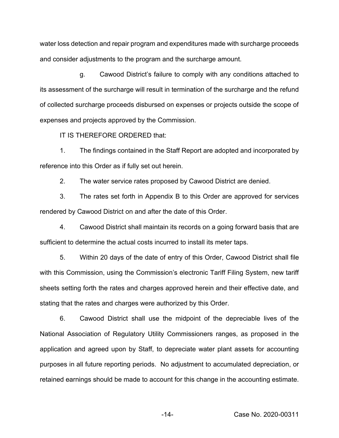water loss detection and repair program and expenditures made with surcharge proceeds and consider adjustments to the program and the surcharge amount.

g. Cawood District's failure to comply with any conditions attached to its assessment of the surcharge will result in termination of the surcharge and the refund of collected surcharge proceeds disbursed on expenses or projects outside the scope of expenses and projects approved by the Commission.

IT IS THEREFORE ORDERED that:

1. The findings contained in the Staff Report are adopted and incorporated by reference into this Order as if fully set out herein.

2. The water service rates proposed by Cawood District are denied.

3. The rates set forth in Appendix B to this Order are approved for services rendered by Cawood District on and after the date of this Order.

4. Cawood District shall maintain its records on a going forward basis that are sufficient to determine the actual costs incurred to install its meter taps.

5. Within 20 days of the date of entry of this Order, Cawood District shall file with this Commission, using the Commission's electronic Tariff Filing System, new tariff sheets setting forth the rates and charges approved herein and their effective date, and stating that the rates and charges were authorized by this Order.

6. Cawood District shall use the midpoint of the depreciable lives of the National Association of Regulatory Utility Commissioners ranges, as proposed in the application and agreed upon by Staff, to depreciate water plant assets for accounting purposes in all future reporting periods. No adjustment to accumulated depreciation, or retained earnings should be made to account for this change in the accounting estimate.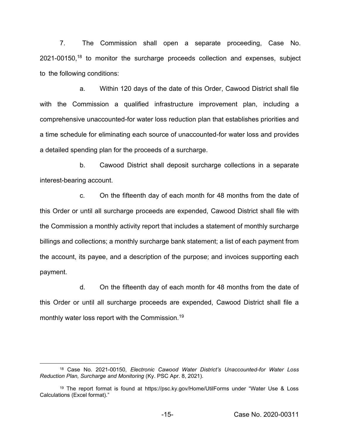7. The Commission shall open a separate proceeding, Case No. 2021-00150, <sup>18</sup> to monitor the surcharge proceeds collection and expenses, subject to the following conditions:

a. Within 120 days of the date of this Order, Cawood District shall file with the Commission a qualified infrastructure improvement plan, including a comprehensive unaccounted-for water loss reduction plan that establishes priorities and a time schedule for eliminating each source of unaccounted-for water loss and provides a detailed spending plan for the proceeds of a surcharge.

b. Cawood District shall deposit surcharge collections in a separate interest-bearing account.

c. On the fifteenth day of each month for 48 months from the date of this Order or until all surcharge proceeds are expended, Cawood District shall file with the Commission a monthly activity report that includes a statement of monthly surcharge billings and collections; a monthly surcharge bank statement; a list of each payment from the account, its payee, and a description of the purpose; and invoices supporting each payment.

d. On the fifteenth day of each month for 48 months from the date of this Order or until all surcharge proceeds are expended, Cawood District shall file a monthly water loss report with the Commission.<sup>19</sup>

<sup>18</sup> Case No. 2021-00150, *Electronic Cawood Water District's Unaccounted-for Water Loss Reduction Plan, Surcharge and Monitoring* (Ky. PSC Apr. 8, 2021).

<sup>19</sup> The report format is found at https://psc.ky.gov/Home/UtilForms under "Water Use & Loss Calculations (Excel format)."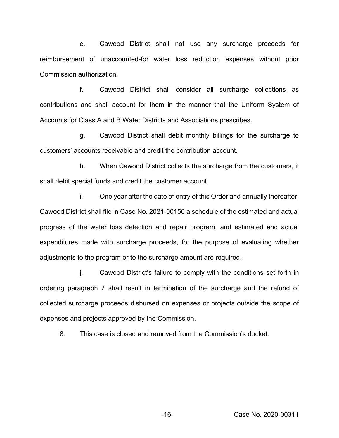e. Cawood District shall not use any surcharge proceeds for reimbursement of unaccounted-for water loss reduction expenses without prior Commission authorization.

f. Cawood District shall consider all surcharge collections as contributions and shall account for them in the manner that the Uniform System of Accounts for Class A and B Water Districts and Associations prescribes.

g. Cawood District shall debit monthly billings for the surcharge to customers' accounts receivable and credit the contribution account.

h. When Cawood District collects the surcharge from the customers, it shall debit special funds and credit the customer account.

i. One year after the date of entry of this Order and annually thereafter, Cawood District shall file in Case No. 2021-00150 a schedule of the estimated and actual progress of the water loss detection and repair program, and estimated and actual expenditures made with surcharge proceeds, for the purpose of evaluating whether adjustments to the program or to the surcharge amount are required.

j. Cawood District's failure to comply with the conditions set forth in ordering paragraph 7 shall result in termination of the surcharge and the refund of collected surcharge proceeds disbursed on expenses or projects outside the scope of expenses and projects approved by the Commission.

8. This case is closed and removed from the Commission's docket.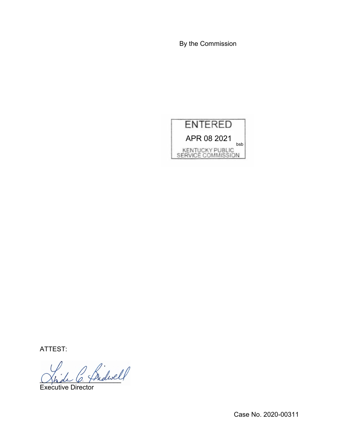By the Commission



ATTEST:

Shde O. Theliver

Executive Director

Case No. 2020-00311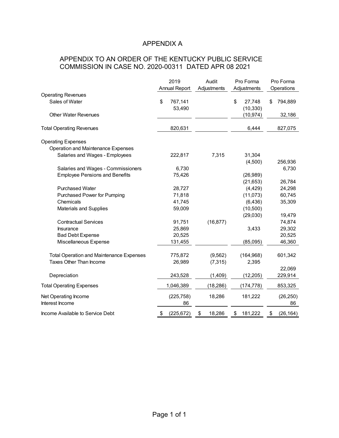# APPENDIX A

# APPENDIX TO AN ORDER OF THE KENTUCKY PUBLIC SERVICE COMMISSION IN CASE NO. 2020-00311 DATED APR 08 2021

|                                                 | 2019<br><b>Annual Report</b> | Audit<br>Adjustments | Pro Forma<br>Adjustments  | Pro Forma<br>Operations |
|-------------------------------------------------|------------------------------|----------------------|---------------------------|-------------------------|
| <b>Operating Revenues</b>                       |                              |                      |                           |                         |
| Sales of Water                                  | \$<br>767,141<br>53,490      |                      | \$<br>27,748<br>(10, 330) | \$<br>794,889           |
| <b>Other Water Revenues</b>                     |                              |                      | (10, 974)                 | 32,186                  |
| <b>Total Operating Revenues</b>                 | 820,631                      |                      | 6,444                     | 827,075                 |
| <b>Operating Expenses</b>                       |                              |                      |                           |                         |
| Operation and Maintenance Expenses              |                              |                      |                           |                         |
| Salaries and Wages - Employees                  | 222,817                      | 7,315                | 31,304                    |                         |
|                                                 |                              |                      | (4,500)                   | 256,936                 |
| Salaries and Wages - Commissioners              | 6,730                        |                      |                           | 6,730                   |
| <b>Employee Pensions and Benefits</b>           | 75,426                       |                      | (26,989)                  |                         |
|                                                 |                              |                      | (21, 653)                 | 26,784                  |
| <b>Purchased Water</b>                          | 28,727                       |                      | (4, 429)                  | 24,298                  |
| Purchased Power for Pumping                     | 71,818                       |                      | (11,073)                  | 60,745                  |
| Chemicals                                       | 41,745                       |                      | (6, 436)                  | 35,309                  |
| Materials and Supplies                          | 59,009                       |                      | (10, 500)                 |                         |
|                                                 |                              |                      | (29,030)                  | 19,479                  |
|                                                 |                              |                      |                           |                         |
| <b>Contractual Services</b>                     | 91,751                       | (16, 877)            |                           | 74,874                  |
| Insurance                                       | 25,869                       |                      | 3,433                     | 29,302                  |
| <b>Bad Debt Expense</b>                         | 20,525                       |                      |                           | 20,525                  |
| Miscellaneous Expense                           | 131,455                      |                      | (85,095)                  | 46,360                  |
| <b>Total Operation and Maintenance Expenses</b> |                              |                      |                           |                         |
| Taxes Other Than Income                         | 775,872                      | (9,562)              | (164, 968)                | 601,342                 |
|                                                 | 26,989                       | (7, 315)             | 2,395                     |                         |
|                                                 |                              |                      |                           | 22,069                  |
| Depreciation                                    | 243,528                      | (1,409)              | (12, 205)                 | 229,914                 |
| <b>Total Operating Expenses</b>                 | 1,046,389                    | (18, 286)            | (174, 778)                | 853,325                 |
| Net Operating Income                            | (225, 758)                   | 18,286               | 181,222                   | (26, 250)               |
| Interest Income                                 | 86                           |                      |                           | 86                      |
| Income Available to Service Debt                | \$<br>(225, 672)             | \$<br>18,286         | \$<br>181,222             | \$<br>(26, 164)         |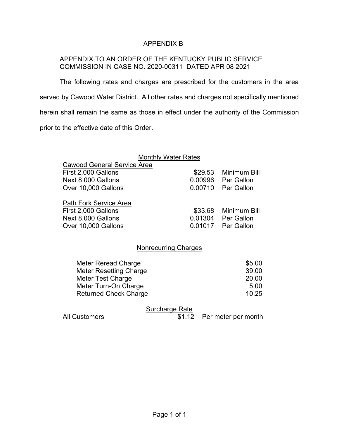## APPENDIX B

## APPENDIX TO AN ORDER OF THE KENTUCKY PUBLIC SERVICE COMMISSION IN CASE NO. 2020-00311 DATED APR 08 2021

The following rates and charges are prescribed for the customers in the area served by Cawood Water District. All other rates and charges not specifically mentioned herein shall remain the same as those in effect under the authority of the Commission prior to the effective date of this Order.

|                                    | <b>Monthly Water Rates</b> |                      |  |  |
|------------------------------------|----------------------------|----------------------|--|--|
| <b>Cawood General Service Area</b> |                            |                      |  |  |
| First 2,000 Gallons                |                            | \$29.53 Minimum Bill |  |  |
| Next 8,000 Gallons                 |                            | 0.00996 Per Gallon   |  |  |
| Over 10,000 Gallons                |                            | 0.00710 Per Gallon   |  |  |
| <b>Path Fork Service Area</b>      |                            |                      |  |  |
| First 2,000 Gallons                |                            | \$33.68 Minimum Bill |  |  |
| Next 8,000 Gallons                 |                            | 0.01304 Per Gallon   |  |  |
| Over 10,000 Gallons                |                            | 0.01017 Per Gallon   |  |  |
|                                    |                            |                      |  |  |
| <b>Nonrecurring Charges</b>        |                            |                      |  |  |
|                                    |                            |                      |  |  |

| Meter Reread Charge           | \$5.00 |
|-------------------------------|--------|
| <b>Meter Resetting Charge</b> | 39.00  |
| Meter Test Charge             | 20.00  |
| Meter Turn-On Charge          | 5.00   |
| <b>Returned Check Charge</b>  | 10.25  |

# Surcharge Rate

All Customers \$1.12 Per meter per month